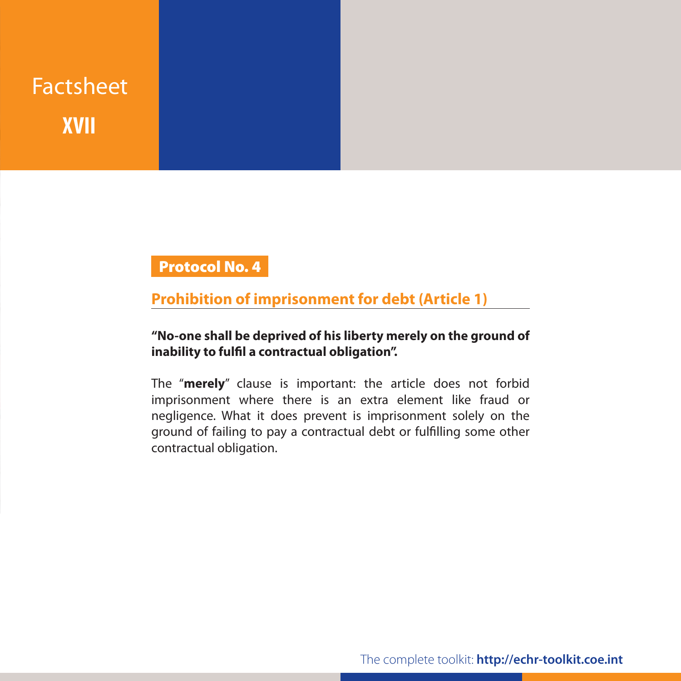# Factsheet **XVII**

## Protocol No. 4

#### **Prohibition of imprisonment for debt (Article 1)**

#### **"No-one shall be deprived of his liberty merely on the ground of inability to fulfil a contractual obligation".**

The "**merely**" clause is important: the article does not forbid imprisonment where there is an extra element like fraud or negligence. What it does prevent is imprisonment solely on the ground of failing to pay a contractual debt or fulfilling some other contractual obligation.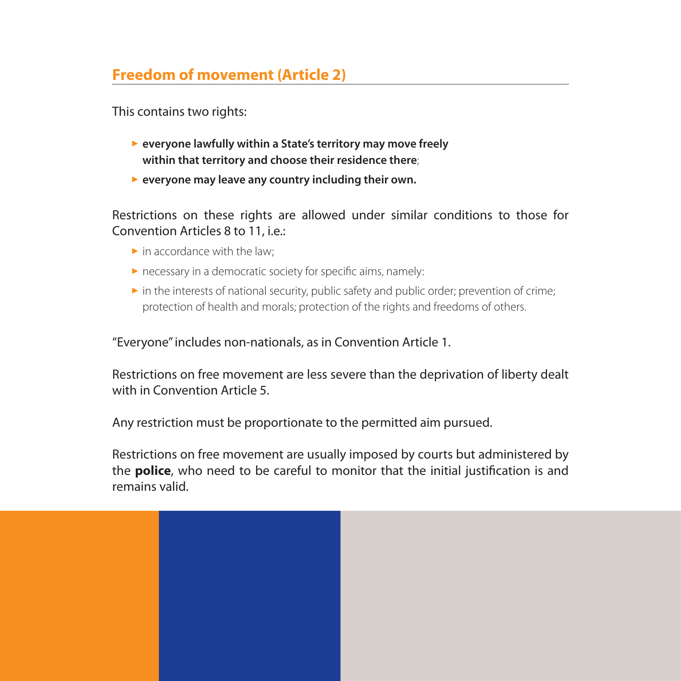### **Freedom of movement (Article 2)**

This contains two rights:

- ▶ everyone lawfully within a State's territory may move freely **within that territory and choose their residence there**;
- **Example 2 Feveryone may leave any country including their own.**

Restrictions on these rights are allowed under similar conditions to those for Convention Articles 8 to 11, i.e.:

- $\blacktriangleright$  in accordance with the law;
- $\triangleright$  necessary in a democratic society for specific aims, namely:
- $\triangleright$  in the interests of national security, public safety and public order; prevention of crime; protection of health and morals; protection of the rights and freedoms of others.

"Everyone" includes non-nationals, as in Convention Article 1.

Restrictions on free movement are less severe than the deprivation of liberty dealt with in Convention Article 5.

Any restriction must be proportionate to the permitted aim pursued.

Restrictions on free movement are usually imposed by courts but administered by the **police**, who need to be careful to monitor that the initial justification is and remains valid.

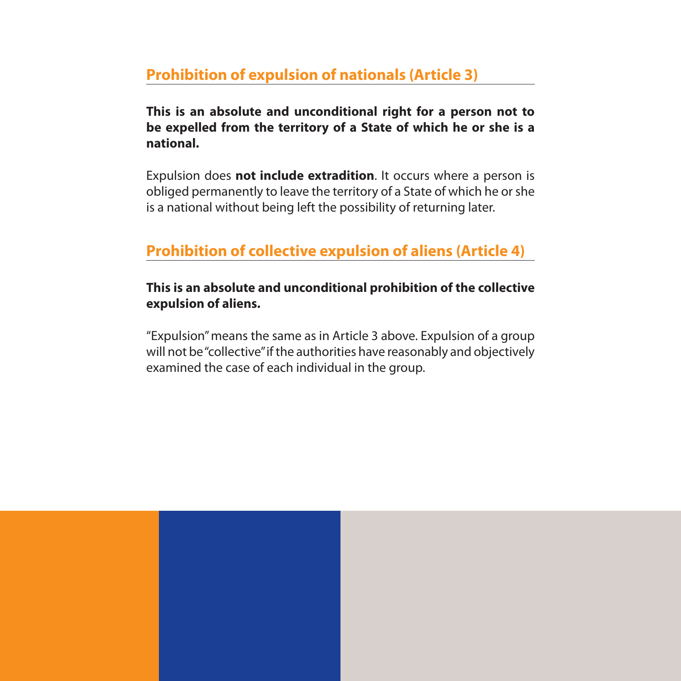#### **Prohibition of expulsion of nationals (Article 3)**

**This is an absolute and unconditional right for a person not to be expelled from the territory of a State of which he or she is a national.**

Expulsion does **not include extradition**. It occurs where a person is obliged permanently to leave the territory of a State of which he or she is a national without being left the possibility of returning later.

#### **Prohibition of collective expulsion of aliens (Article 4)**

#### **This is an absolute and unconditional prohibition of the collective expulsion of aliens.**

"Expulsion" means the same as in Article 3 above. Expulsion of a group will not be "collective" if the authorities have reasonably and objectively examined the case of each individual in the group.